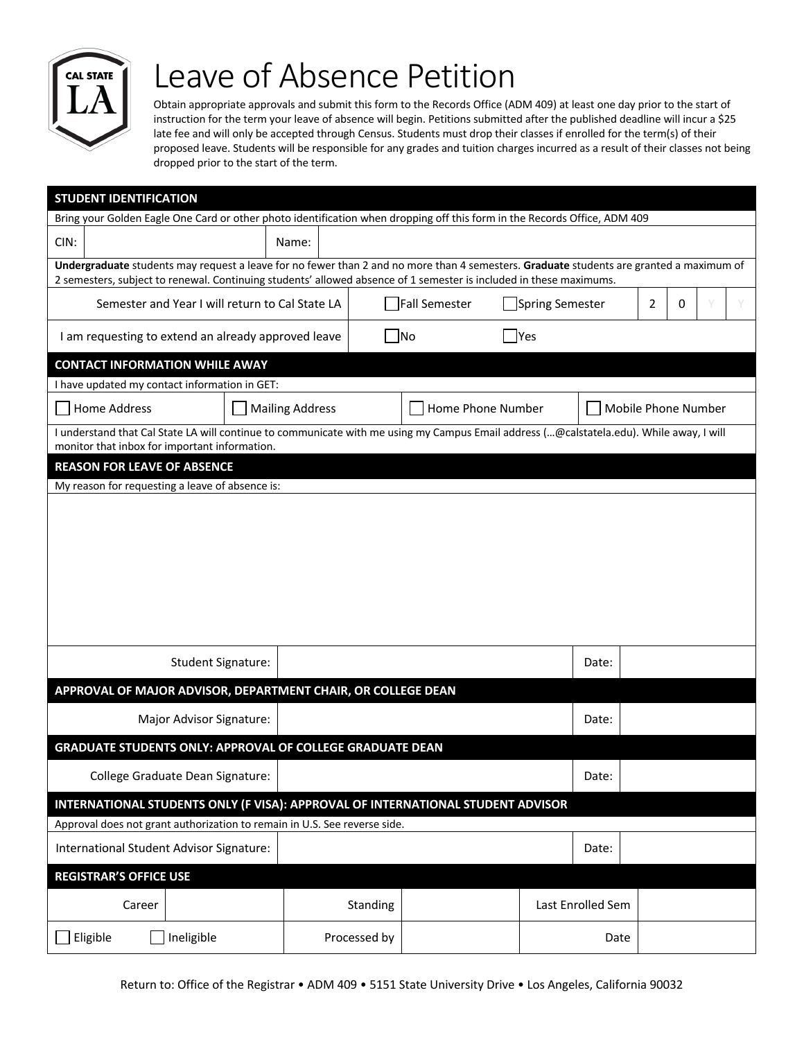

## Leave of Absence Petition

Obtain appropriate approvals and submit this form to the Records Office (ADM 409) at least one day prior to the start of instruction for the term your leave of absence will begin. Petitions submitted after the published deadline will incur a \$25 late fee and will only be accepted through Census. Students must drop their classes if enrolled for the term(s) of their proposed leave. Students will be responsible for any grades and tuition charges incurred as a result of their classes not being dropped prior to the start of the term.

| <b>STUDENT IDENTIFICATION</b>                                                                                                                                                                                                                                 |                        |                   |                   |                     |                |   |  |  |
|---------------------------------------------------------------------------------------------------------------------------------------------------------------------------------------------------------------------------------------------------------------|------------------------|-------------------|-------------------|---------------------|----------------|---|--|--|
| Bring your Golden Eagle One Card or other photo identification when dropping off this form in the Records Office, ADM 409                                                                                                                                     |                        |                   |                   |                     |                |   |  |  |
| CIN:                                                                                                                                                                                                                                                          | Name:                  |                   |                   |                     |                |   |  |  |
| Undergraduate students may request a leave for no fewer than 2 and no more than 4 semesters. Graduate students are granted a maximum of<br>2 semesters, subject to renewal. Continuing students' allowed absence of 1 semester is included in these maximums. |                        |                   |                   |                     |                |   |  |  |
| <b>Fall Semester</b><br>Semester and Year I will return to Cal State LA<br>Spring Semester                                                                                                                                                                    |                        |                   |                   |                     | $\overline{2}$ | 0 |  |  |
|                                                                                                                                                                                                                                                               |                        |                   |                   |                     |                |   |  |  |
| $\blacksquare$ Yes<br>I am requesting to extend an already approved leave<br> No                                                                                                                                                                              |                        |                   |                   |                     |                |   |  |  |
| <b>CONTACT INFORMATION WHILE AWAY</b>                                                                                                                                                                                                                         |                        |                   |                   |                     |                |   |  |  |
| I have updated my contact information in GET:                                                                                                                                                                                                                 |                        |                   |                   |                     |                |   |  |  |
| Home Address                                                                                                                                                                                                                                                  | <b>Mailing Address</b> | Home Phone Number |                   | Mobile Phone Number |                |   |  |  |
| I understand that Cal State LA will continue to communicate with me using my Campus Email address (@calstatela.edu). While away, I will<br>monitor that inbox for important information.                                                                      |                        |                   |                   |                     |                |   |  |  |
| <b>REASON FOR LEAVE OF ABSENCE</b>                                                                                                                                                                                                                            |                        |                   |                   |                     |                |   |  |  |
| My reason for requesting a leave of absence is:                                                                                                                                                                                                               |                        |                   |                   |                     |                |   |  |  |
|                                                                                                                                                                                                                                                               |                        |                   |                   |                     |                |   |  |  |
|                                                                                                                                                                                                                                                               |                        |                   |                   |                     |                |   |  |  |
|                                                                                                                                                                                                                                                               |                        |                   |                   |                     |                |   |  |  |
|                                                                                                                                                                                                                                                               |                        |                   |                   |                     |                |   |  |  |
|                                                                                                                                                                                                                                                               |                        |                   |                   |                     |                |   |  |  |
|                                                                                                                                                                                                                                                               |                        |                   |                   |                     |                |   |  |  |
|                                                                                                                                                                                                                                                               |                        |                   |                   |                     |                |   |  |  |
| <b>Student Signature:</b>                                                                                                                                                                                                                                     |                        |                   |                   | Date:               |                |   |  |  |
| APPROVAL OF MAJOR ADVISOR, DEPARTMENT CHAIR, OR COLLEGE DEAN                                                                                                                                                                                                  |                        |                   |                   |                     |                |   |  |  |
| Major Advisor Signature:                                                                                                                                                                                                                                      |                        |                   |                   | Date:               |                |   |  |  |
| <b>GRADUATE STUDENTS ONLY: APPROVAL OF COLLEGE GRADUATE DEAN</b>                                                                                                                                                                                              |                        |                   |                   |                     |                |   |  |  |
| College Graduate Dean Signature:                                                                                                                                                                                                                              |                        |                   |                   | Date:               |                |   |  |  |
| INTERNATIONAL STUDENTS ONLY (F VISA): APPROVAL OF INTERNATIONAL STUDENT ADVISOR                                                                                                                                                                               |                        |                   |                   |                     |                |   |  |  |
| Approval does not grant authorization to remain in U.S. See reverse side.                                                                                                                                                                                     |                        |                   |                   |                     |                |   |  |  |
| International Student Advisor Signature:                                                                                                                                                                                                                      |                        |                   | Date:             |                     |                |   |  |  |
| <b>REGISTRAR'S OFFICE USE</b>                                                                                                                                                                                                                                 |                        |                   |                   |                     |                |   |  |  |
| Career                                                                                                                                                                                                                                                        | Standing               |                   | Last Enrolled Sem |                     |                |   |  |  |
| Ineligible<br>Eligible                                                                                                                                                                                                                                        | Processed by           |                   | Date              |                     |                |   |  |  |